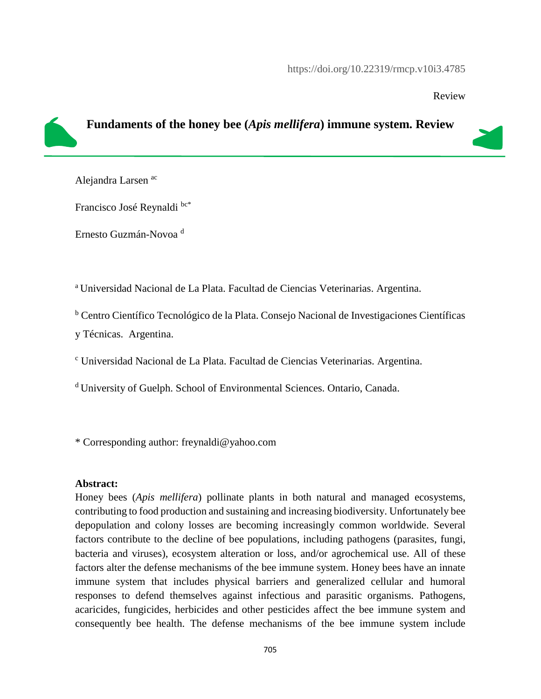Review

## **Fundaments of the honey bee (***Apis mellifera***) immune system. Review**

Alejandra Larsen ac

Francisco José Reynaldi bc\*

Ernesto Guzmán-Novoa <sup>d</sup>

<sup>a</sup> Universidad Nacional de La Plata. Facultad de Ciencias Veterinarias. Argentina.

<sup>b</sup> Centro Científico Tecnológico de la Plata. Consejo Nacional de Investigaciones Científicas

y Técnicas. Argentina.

<sup>c</sup> Universidad Nacional de La Plata. Facultad de Ciencias Veterinarias. Argentina.

<sup>d</sup> University of Guelph. School of Environmental Sciences. Ontario, Canada.

\* Corresponding author: freynaldi@yahoo.com

#### **Abstract:**

Honey bees (*Apis mellifera*) pollinate plants in both natural and managed ecosystems, contributing to food production and sustaining and increasing biodiversity. Unfortunately bee depopulation and colony losses are becoming increasingly common worldwide. Several factors contribute to the decline of bee populations, including pathogens (parasites, fungi, bacteria and viruses), ecosystem alteration or loss, and/or agrochemical use. All of these factors alter the defense mechanisms of the bee immune system. Honey bees have an innate immune system that includes physical barriers and generalized cellular and humoral responses to defend themselves against infectious and parasitic organisms. Pathogens, acaricides, fungicides, herbicides and other pesticides affect the bee immune system and consequently bee health. The defense mechanisms of the bee immune system include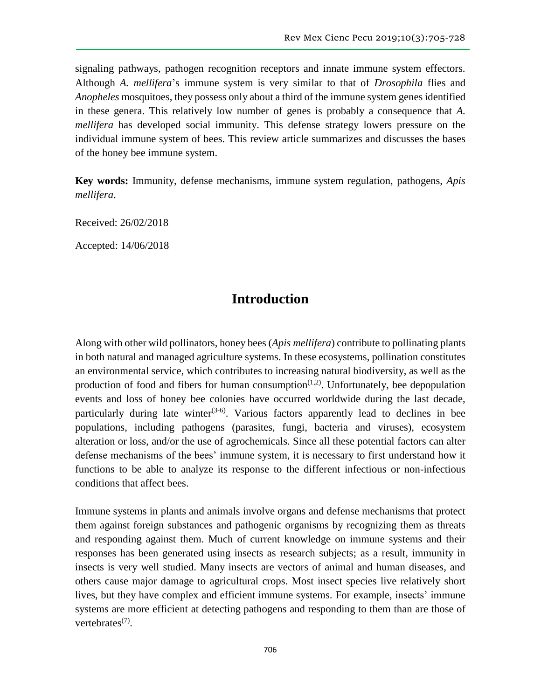signaling pathways, pathogen recognition receptors and innate immune system effectors. Although *A. mellifera*'s immune system is very similar to that of *Drosophila* flies and *Anopheles* mosquitoes, they possess only about a third of the immune system genes identified in these genera. This relatively low number of genes is probably a consequence that *A. mellifera* has developed social immunity. This defense strategy lowers pressure on the individual immune system of bees. This review article summarizes and discusses the bases of the honey bee immune system.

**Key words:** Immunity, defense mechanisms, immune system regulation, pathogens, *Apis mellifera*.

Received: 26/02/2018

Accepted: 14/06/2018

# **Introduction**

Along with other wild pollinators, honey bees (*Apis mellifera*) contribute to pollinating plants in both natural and managed agriculture systems. In these ecosystems, pollination constitutes an environmental service, which contributes to increasing natural biodiversity, as well as the production of food and fibers for human consumption<sup> $(1,2)$ </sup>. Unfortunately, bee depopulation events and loss of honey bee colonies have occurred worldwide during the last decade, particularly during late winter<sup> $(3-6)$ </sup>. Various factors apparently lead to declines in bee populations, including pathogens (parasites, fungi, bacteria and viruses), ecosystem alteration or loss, and/or the use of agrochemicals. Since all these potential factors can alter defense mechanisms of the bees' immune system, it is necessary to first understand how it functions to be able to analyze its response to the different infectious or non-infectious conditions that affect bees.

Immune systems in plants and animals involve organs and defense mechanisms that protect them against foreign substances and pathogenic organisms by recognizing them as threats and responding against them. Much of current knowledge on immune systems and their responses has been generated using insects as research subjects; as a result, immunity in insects is very well studied. Many insects are vectors of animal and human diseases, and others cause major damage to agricultural crops. Most insect species live relatively short lives, but they have complex and efficient immune systems. For example, insects' immune systems are more efficient at detecting pathogens and responding to them than are those of vertebrates<sup>(7)</sup>.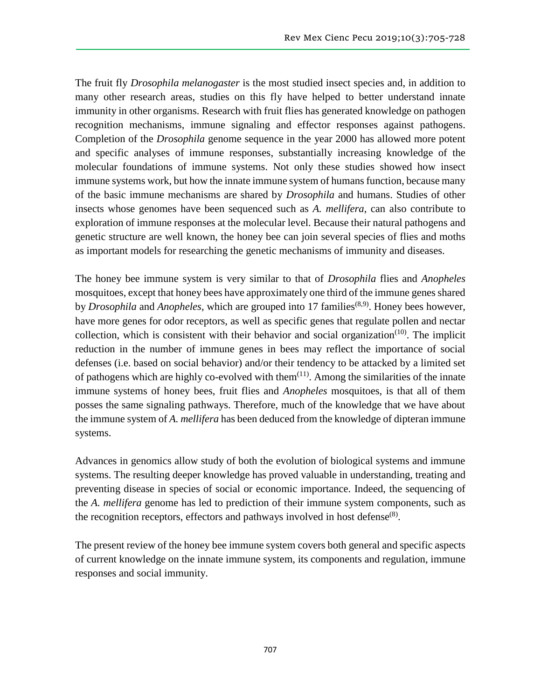The fruit fly *Drosophila melanogaster* is the most studied insect species and, in addition to many other research areas, studies on this fly have helped to better understand innate immunity in other organisms. Research with fruit flies has generated knowledge on pathogen recognition mechanisms, immune signaling and effector responses against pathogens. Completion of the *Drosophila* genome sequence in the year 2000 has allowed more potent and specific analyses of immune responses, substantially increasing knowledge of the molecular foundations of immune systems. Not only these studies showed how insect immune systems work, but how the innate immune system of humans function, because many of the basic immune mechanisms are shared by *Drosophila* and humans. Studies of other insects whose genomes have been sequenced such as *A. mellifera*, can also contribute to exploration of immune responses at the molecular level. Because their natural pathogens and genetic structure are well known, the honey bee can join several species of flies and moths as important models for researching the genetic mechanisms of immunity and diseases.

The honey bee immune system is very similar to that of *Drosophila* flies and *Anopheles* mosquitoes, except that honey bees have approximately one third of the immune genes shared by *Drosophila* and *Anopheles*, which are grouped into 17 families<sup>(8,9)</sup>. Honey bees however, have more genes for odor receptors, as well as specific genes that regulate pollen and nectar collection, which is consistent with their behavior and social organization<sup> $(10)$ </sup>. The implicit reduction in the number of immune genes in bees may reflect the importance of social defenses (i.e. based on social behavior) and/or their tendency to be attacked by a limited set of pathogens which are highly co-evolved with them $(11)$ . Among the similarities of the innate immune systems of honey bees, fruit flies and *Anopheles* mosquitoes, is that all of them posses the same signaling pathways. Therefore, much of the knowledge that we have about the immune system of *A. mellifera* has been deduced from the knowledge of dipteran immune systems.

Advances in genomics allow study of both the evolution of biological systems and immune systems. The resulting deeper knowledge has proved valuable in understanding, treating and preventing disease in species of social or economic importance. Indeed, the sequencing of the *A. mellifera* genome has led to prediction of their immune system components, such as the recognition receptors, effectors and pathways involved in host defense $(8)$ .

The present review of the honey bee immune system covers both general and specific aspects of current knowledge on the innate immune system, its components and regulation, immune responses and social immunity.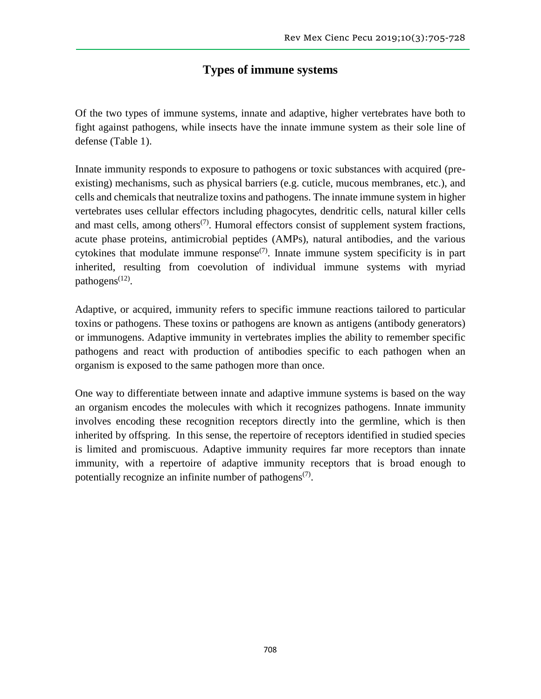# **Types of immune systems**

Of the two types of immune systems, innate and adaptive, higher vertebrates have both to fight against pathogens, while insects have the innate immune system as their sole line of defense (Table 1).

Innate immunity responds to exposure to pathogens or toxic substances with acquired (preexisting) mechanisms, such as physical barriers (e.g. cuticle, mucous membranes, etc.), and cells and chemicals that neutralize toxins and pathogens. The innate immune system in higher vertebrates uses cellular effectors including phagocytes, dendritic cells, natural killer cells and mast cells, among others<sup> $(7)$ </sup>. Humoral effectors consist of supplement system fractions, acute phase proteins, antimicrobial peptides (AMPs), natural antibodies, and the various cytokines that modulate immune response<sup> $(7)$ </sup>. Innate immune system specificity is in part inherited, resulting from coevolution of individual immune systems with myriad pathogens<sup>(12)</sup>.

Adaptive, or acquired, immunity refers to specific immune reactions tailored to particular toxins or pathogens. These toxins or pathogens are known as antigens (antibody generators) or immunogens. Adaptive immunity in vertebrates implies the ability to remember specific pathogens and react with production of antibodies specific to each pathogen when an organism is exposed to the same pathogen more than once.

One way to differentiate between innate and adaptive immune systems is based on the way an organism encodes the molecules with which it recognizes pathogens. Innate immunity involves encoding these recognition receptors directly into the germline, which is then inherited by offspring. In this sense, the repertoire of receptors identified in studied species is limited and promiscuous. Adaptive immunity requires far more receptors than innate immunity, with a repertoire of adaptive immunity receptors that is broad enough to potentially recognize an infinite number of pathogens<sup> $(7)$ </sup>.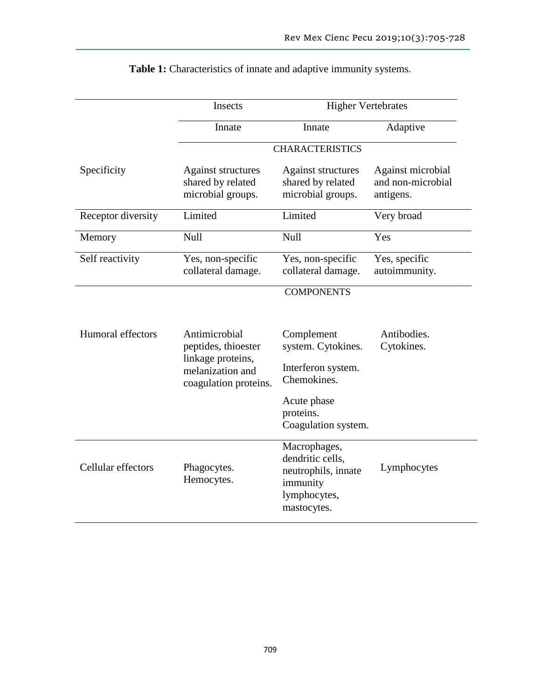|                    | Insects                                                                                                | <b>Higher Vertebrates</b>                                                                                                |                                                     |
|--------------------|--------------------------------------------------------------------------------------------------------|--------------------------------------------------------------------------------------------------------------------------|-----------------------------------------------------|
|                    | Innate                                                                                                 | Innate                                                                                                                   | Adaptive                                            |
|                    | <b>CHARACTERISTICS</b>                                                                                 |                                                                                                                          |                                                     |
| Specificity        | Against structures<br>shared by related<br>microbial groups.                                           | <b>Against structures</b><br>shared by related<br>microbial groups.                                                      | Against microbial<br>and non-microbial<br>antigens. |
| Receptor diversity | Limited                                                                                                | Limited                                                                                                                  | Very broad                                          |
| Memory             | <b>Null</b>                                                                                            | Null                                                                                                                     | Yes                                                 |
| Self reactivity    | Yes, non-specific<br>collateral damage.                                                                | Yes, non-specific<br>collateral damage.                                                                                  | Yes, specific<br>autoimmunity.                      |
|                    |                                                                                                        | <b>COMPONENTS</b>                                                                                                        |                                                     |
| Humoral effectors  | Antimicrobial<br>peptides, thioester<br>linkage proteins,<br>melanization and<br>coagulation proteins. | Complement<br>system. Cytokines.<br>Interferon system.<br>Chemokines.<br>Acute phase<br>proteins.<br>Coagulation system. | Antibodies.<br>Cytokines.                           |
| Cellular effectors | Phagocytes.<br>Hemocytes.                                                                              | Macrophages,<br>dendritic cells,<br>neutrophils, innate<br>immunity<br>lymphocytes,<br>mastocytes.                       | Lymphocytes                                         |

**Table 1:** Characteristics of innate and adaptive immunity systems.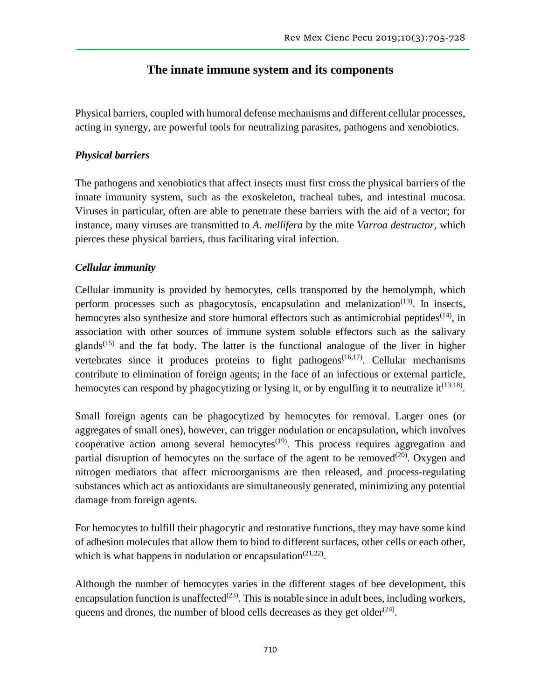## **The innate immune system and its components**

Physical barriers, coupled with humoral defense mechanisms and different cellular processes, acting in synergy, are powerful tools for neutralizing parasites, pathogens and xenobiotics.

## *Physical barriers*

The pathogens and xenobiotics that affect insects must first cross the physical barriers of the innate immunity system, such as the exoskeleton, tracheal tubes, and intestinal mucosa. Viruses in particular, often are able to penetrate these barriers with the aid of a vector; for instance, many viruses are transmitted to *A. mellifera* by the mite *Varroa destructor*, which pierces these physical barriers, thus facilitating viral infection.

## *Cellular immunity*

Cellular immunity is provided by hemocytes, cells transported by the hemolymph, which perform processes such as phagocytosis, encapsulation and melanization<sup>(13)</sup>. In insects, hemocytes also synthesize and store humoral effectors such as antimicrobial peptides<sup>(14)</sup>, in association with other sources of immune system soluble effectors such as the salivary glands<sup> $(15)$ </sup> and the fat body. The latter is the functional analogue of the liver in higher vertebrates since it produces proteins to fight pathogens<sup> $(16,17)$ </sup>. Cellular mechanisms contribute to elimination of foreign agents; in the face of an infectious or external particle, hemocytes can respond by phagocytizing or lysing it, or by engulfing it to neutralize it  $(13,18)$ .

Small foreign agents can be phagocytized by hemocytes for removal. Larger ones (or aggregates of small ones), however, can trigger nodulation or encapsulation, which involves cooperative action among several hemocytes<sup> $(19)$ </sup>. This process requires aggregation and partial disruption of hemocytes on the surface of the agent to be removed $(20)$ . Oxygen and nitrogen mediators that affect microorganisms are then released, and process-regulating substances which act as antioxidants are simultaneously generated, minimizing any potential damage from foreign agents.

For hemocytes to fulfill their phagocytic and restorative functions, they may have some kind of adhesion molecules that allow them to bind to different surfaces, other cells or each other, which is what happens in nodulation or encapsulation<sup> $(21,22)$ </sup>.

Although the number of hemocytes varies in the different stages of bee development, this encapsulation function is unaffected $(23)$ . This is notable since in adult bees, including workers, queens and drones, the number of blood cells decreases as they get older $(24)$ .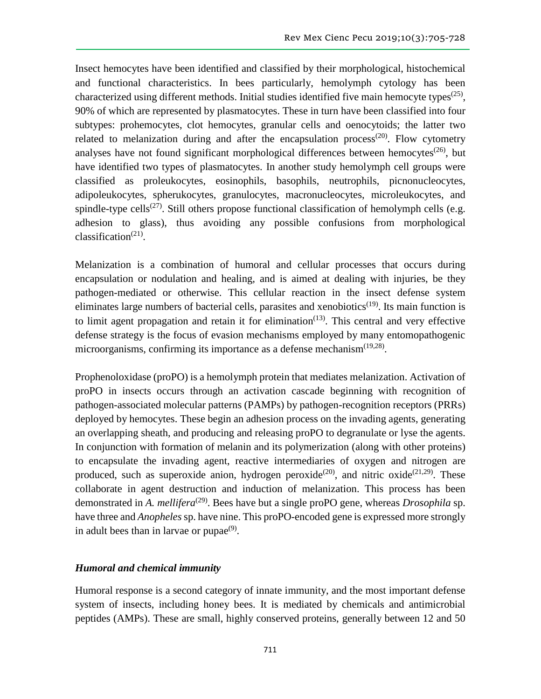Insect hemocytes have been identified and classified by their morphological, histochemical and functional characteristics. In bees particularly, hemolymph cytology has been characterized using different methods. Initial studies identified five main hemocyte types<sup> $(25)$ </sup>, 90% of which are represented by plasmatocytes. These in turn have been classified into four subtypes: prohemocytes, clot hemocytes, granular cells and oenocytoids; the latter two related to melanization during and after the encapsulation process<sup>(20)</sup>. Flow cytometry analyses have not found significant morphological differences between hemocytes<sup> $(26)$ </sup>, but have identified two types of plasmatocytes. In another study hemolymph cell groups were classified as proleukocytes, eosinophils, basophils, neutrophils, picnonucleocytes, adipoleukocytes, spherukocytes, granulocytes, macronucleocytes, microleukocytes, and spindle-type cells<sup>(27)</sup>. Still others propose functional classification of hemolymph cells (e.g. adhesion to glass), thus avoiding any possible confusions from morphological classification<sup>(21)</sup>.

Melanization is a combination of humoral and cellular processes that occurs during encapsulation or nodulation and healing, and is aimed at dealing with injuries, be they pathogen-mediated or otherwise. This cellular reaction in the insect defense system eliminates large numbers of bacterial cells, parasites and xenobiotics<sup> $(19)$ </sup>. Its main function is to limit agent propagation and retain it for elimination<sup> $(13)$ </sup>. This central and very effective defense strategy is the focus of evasion mechanisms employed by many entomopathogenic microorganisms, confirming its importance as a defense mechanism<sup>(19,28)</sup>.

Prophenoloxidase (proPO) is a hemolymph protein that mediates melanization. Activation of proPO in insects occurs through an activation cascade beginning with recognition of pathogen-associated molecular patterns (PAMPs) by pathogen-recognition receptors (PRRs) deployed by hemocytes. These begin an adhesion process on the invading agents, generating an overlapping sheath, and producing and releasing proPO to degranulate or lyse the agents. In conjunction with formation of melanin and its polymerization (along with other proteins) to encapsulate the invading agent, reactive intermediaries of oxygen and nitrogen are produced, such as superoxide anion, hydrogen peroxide<sup>(20)</sup>, and nitric oxide<sup>(21,29)</sup>. These collaborate in agent destruction and induction of melanization. This process has been demonstrated in *A. mellifera*<sup>(29)</sup>. Bees have but a single proPO gene, whereas *Drosophila* sp. have three and *Anopheles* sp. have nine. This proPO-encoded gene is expressed more strongly in adult bees than in larvae or pupae $(9)$ .

#### *Humoral and chemical immunity*

Humoral response is a second category of innate immunity, and the most important defense system of insects, including honey bees. It is mediated by chemicals and antimicrobial peptides (AMPs). These are small, highly conserved proteins, generally between 12 and 50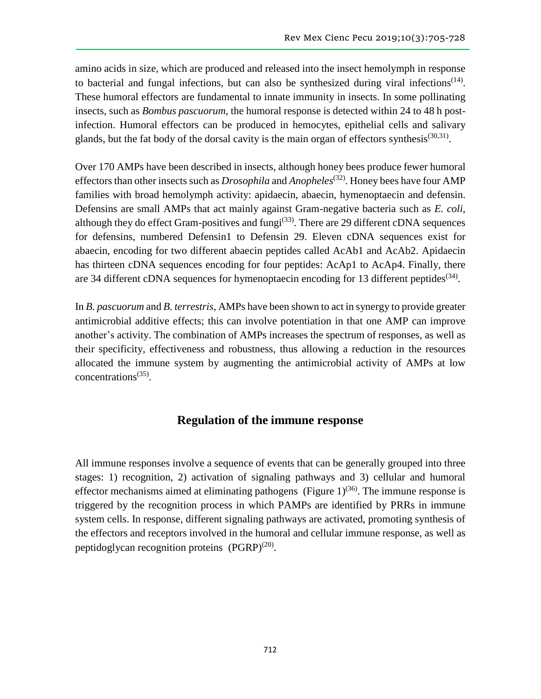amino acids in size, which are produced and released into the insect hemolymph in response to bacterial and fungal infections, but can also be synthesized during viral infections<sup> $(14)$ </sup>. These humoral effectors are fundamental to innate immunity in insects. In some pollinating insects, such as *Bombus pascuorum*, the humoral response is detected within 24 to 48 h postinfection. Humoral effectors can be produced in hemocytes, epithelial cells and salivary glands, but the fat body of the dorsal cavity is the main organ of effectors synthesis<sup>(30,31)</sup>.

Over 170 AMPs have been described in insects, although honey bees produce fewer humoral effectors than other insects such as *Drosophila* and *Anopheles*(32). Honey bees have four AMP families with broad hemolymph activity: apidaecin, abaecin, hymenoptaecin and defensin. Defensins are small AMPs that act mainly against Gram-negative bacteria such as *E. coli*, although they do effect Gram-positives and fungi $(33)$ . There are 29 different cDNA sequences for defensins, numbered Defensin1 to Defensin 29. Eleven cDNA sequences exist for abaecin, encoding for two different abaecin peptides called AcAb1 and AcAb2. Apidaecin has thirteen cDNA sequences encoding for four peptides: AcAp1 to AcAp4. Finally, there are 34 different cDNA sequences for hymenoptaecin encoding for 13 different peptides<sup>(34)</sup>.

In *B. pascuorum* and *B. terrestris*, AMPs have been shown to act in synergy to provide greater antimicrobial additive effects; this can involve potentiation in that one AMP can improve another's activity. The combination of AMPs increases the spectrum of responses, as well as their specificity, effectiveness and robustness, thus allowing a reduction in the resources allocated the immune system by augmenting the antimicrobial activity of AMPs at low concentrations<sup>(35)</sup>.

### **Regulation of the immune response**

All immune responses involve a sequence of events that can be generally grouped into three stages: 1) recognition, 2) activation of signaling pathways and 3) cellular and humoral effector mechanisms aimed at eliminating pathogens (Figure  $1$ )<sup>(36)</sup>. The immune response is triggered by the recognition process in which PAMPs are identified by PRRs in immune system cells. In response, different signaling pathways are activated, promoting synthesis of the effectors and receptors involved in the humoral and cellular immune response, as well as peptidoglycan recognition proteins  $(PGRP)^{(20)}$ .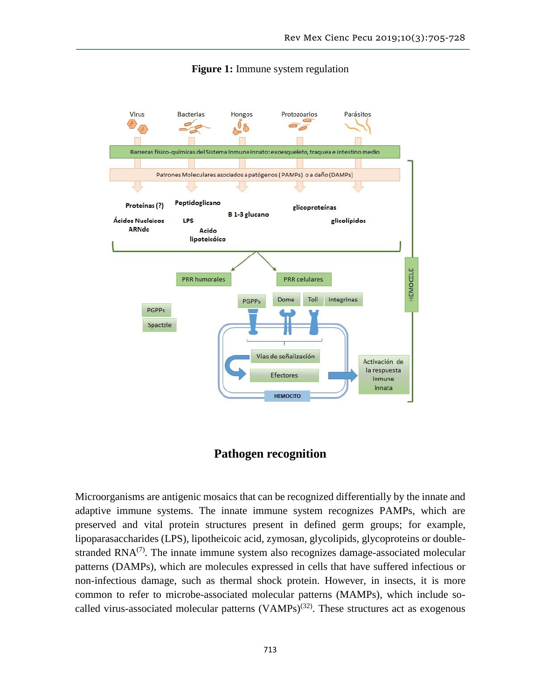

#### **Figure 1:** Immune system regulation

## **Pathogen recognition**

Microorganisms are antigenic mosaics that can be recognized differentially by the innate and adaptive immune systems. The innate immune system recognizes PAMPs, which are preserved and vital protein structures present in defined germ groups; for example, lipoparasaccharides (LPS), lipotheicoic acid, zymosan, glycolipids, glycoproteins or doublestranded  $\text{RNA}^{(7)}$ . The innate immune system also recognizes damage-associated molecular patterns (DAMPs), which are molecules expressed in cells that have suffered infectious or non-infectious damage, such as thermal shock protein. However, in insects, it is more common to refer to microbe-associated molecular patterns (MAMPs), which include socalled virus-associated molecular patterns  $(VAMPs)^{(32)}$ . These structures act as exogenous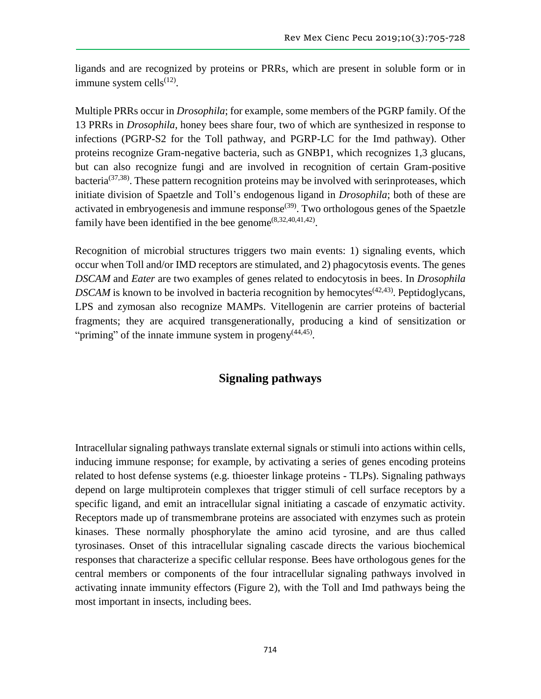ligands and are recognized by proteins or PRRs, which are present in soluble form or in immune system cells $<sup>(12)</sup>$ .</sup>

Multiple PRRs occur in *Drosophila*; for example, some members of the PGRP family. Of the 13 PRRs in *Drosophila*, honey bees share four, two of which are synthesized in response to infections (PGRP-S2 for the Toll pathway, and PGRP-LC for the Imd pathway). Other proteins recognize Gram-negative bacteria, such as GNBP1, which recognizes 1,3 glucans, but can also recognize fungi and are involved in recognition of certain Gram-positive bacteria(37,38). These pattern recognition proteins may be involved with serinproteases, which initiate division of Spaetzle and Toll's endogenous ligand in *Drosophila*; both of these are activated in embryogenesis and immune response<sup> $(39)$ </sup>. Two orthologous genes of the Spaetzle family have been identified in the bee genome<sup> $(8,32,40,41,42)$ </sup>.

Recognition of microbial structures triggers two main events: 1) signaling events, which occur when Toll and/or IMD receptors are stimulated, and 2) phagocytosis events. The genes *DSCAM* and *Eater* are two examples of genes related to endocytosis in bees. In *Drosophila DSCAM* is known to be involved in bacteria recognition by hemocytes<sup> $(42,43)$ </sup>. Peptidoglycans, LPS and zymosan also recognize MAMPs. Vitellogenin are carrier proteins of bacterial fragments; they are acquired transgenerationally, producing a kind of sensitization or "priming" of the innate immune system in progeny<sup>(44,45)</sup>.

### **Signaling pathways**

Intracellular signaling pathways translate external signals or stimuli into actions within cells, inducing immune response; for example, by activating a series of genes encoding proteins related to host defense systems (e.g. thioester linkage proteins - TLPs). Signaling pathways depend on large multiprotein complexes that trigger stimuli of cell surface receptors by a specific ligand, and emit an intracellular signal initiating a cascade of enzymatic activity. Receptors made up of transmembrane proteins are associated with enzymes such as protein kinases. These normally phosphorylate the amino acid tyrosine, and are thus called tyrosinases. Onset of this intracellular signaling cascade directs the various biochemical responses that characterize a specific cellular response. Bees have orthologous genes for the central members or components of the four intracellular signaling pathways involved in activating innate immunity effectors (Figure 2), with the Toll and Imd pathways being the most important in insects, including bees.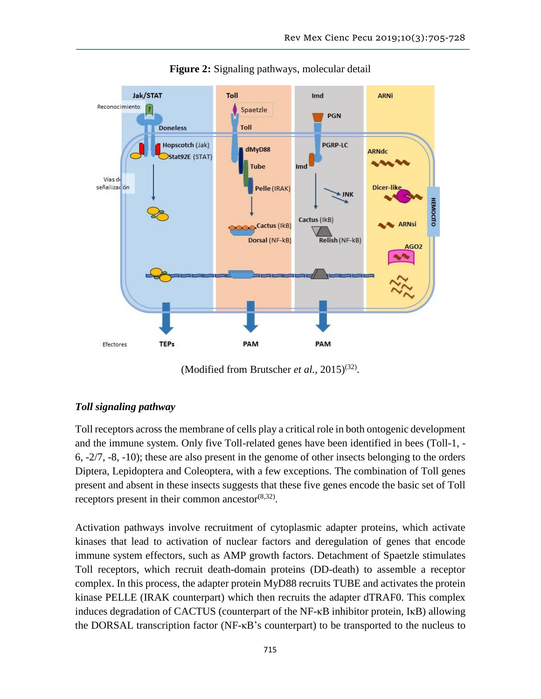

**Figure 2:** Signaling pathways, molecular detail

(Modified from Brutscher *et al.*, 2015)<sup>(32)</sup>.

### *Toll signaling pathway*

Toll receptors across the membrane of cells play a critical role in both ontogenic development and the immune system. Only five Toll-related genes have been identified in bees (Toll-1, - 6, -2/7, -8, -10); these are also present in the genome of other insects belonging to the orders Diptera, Lepidoptera and Coleoptera, with a few exceptions. The combination of Toll genes present and absent in these insects suggests that these five genes encode the basic set of Toll receptors present in their common ancestor $^{(8,32)}$ .

Activation pathways involve recruitment of cytoplasmic adapter proteins, which activate kinases that lead to activation of nuclear factors and deregulation of genes that encode immune system effectors, such as AMP growth factors. Detachment of Spaetzle stimulates Toll receptors, which recruit death-domain proteins (DD-death) to assemble a receptor complex. In this process, the adapter protein MyD88 recruits TUBE and activates the protein kinase PELLE (IRAK counterpart) which then recruits the adapter dTRAF0. This complex induces degradation of CACTUS (counterpart of the NF-κB inhibitor protein, IκB) allowing the DORSAL transcription factor (NF-κB's counterpart) to be transported to the nucleus to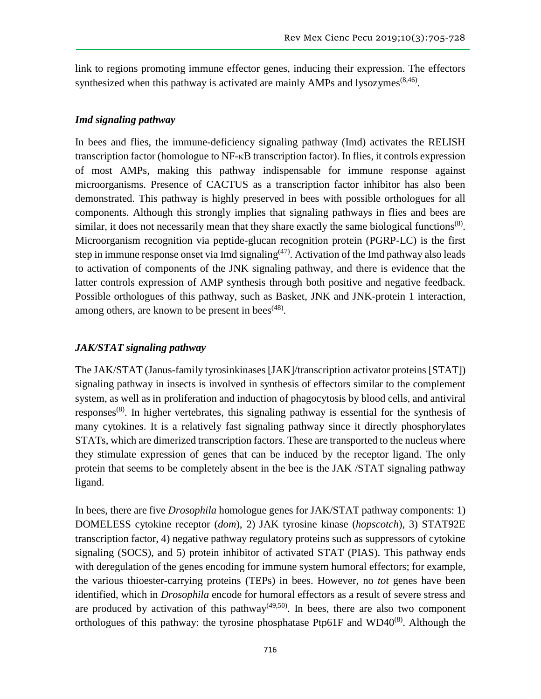link to regions promoting immune effector genes, inducing their expression. The effectors synthesized when this pathway is activated are mainly AMPs and lysozymes<sup> $(8,46)$ </sup>.

#### *Imd signaling pathway*

In bees and flies, the immune-deficiency signaling pathway (Imd) activates the RELISH transcription factor (homologue to NF-κB transcription factor). In flies, it controls expression of most AMPs, making this pathway indispensable for immune response against microorganisms. Presence of CACTUS as a transcription factor inhibitor has also been demonstrated. This pathway is highly preserved in bees with possible orthologues for all components. Although this strongly implies that signaling pathways in flies and bees are similar, it does not necessarily mean that they share exactly the same biological functions<sup> $(8)$ </sup>. Microorganism recognition via peptide-glucan recognition protein (PGRP-LC) is the first step in immune response onset via Imd signaling $(47)$ . Activation of the Imd pathway also leads to activation of components of the JNK signaling pathway, and there is evidence that the latter controls expression of AMP synthesis through both positive and negative feedback. Possible orthologues of this pathway, such as Basket, JNK and JNK-protein 1 interaction, among others, are known to be present in bees<sup> $(48)$ </sup>.

#### *JAK/STAT signaling pathway*

The JAK/STAT (Janus-family tyrosinkinases [JAK]/transcription activator proteins [STAT]) signaling pathway in insects is involved in synthesis of effectors similar to the complement system, as well as in proliferation and induction of phagocytosis by blood cells, and antiviral responses<sup>(8)</sup>. In higher vertebrates, this signaling pathway is essential for the synthesis of many cytokines. It is a relatively fast signaling pathway since it directly phosphorylates STATs, which are dimerized transcription factors. These are transported to the nucleus where they stimulate expression of genes that can be induced by the receptor ligand. The only protein that seems to be completely absent in the bee is the JAK /STAT signaling pathway ligand.

In bees, there are five *Drosophila* homologue genes for JAK/STAT pathway components: 1) DOMELESS cytokine receptor (*dom*), 2) JAK tyrosine kinase (*hopscotch*), 3) STAT92E transcription factor, 4) negative pathway regulatory proteins such as suppressors of cytokine signaling (SOCS), and 5) protein inhibitor of activated STAT (PIAS). This pathway ends with deregulation of the genes encoding for immune system humoral effectors; for example, the various thioester-carrying proteins (TEPs) in bees. However, no *tot* genes have been identified, which in *Drosophila* encode for humoral effectors as a result of severe stress and are produced by activation of this pathway<sup> $(49,50)$ </sup>. In bees, there are also two component orthologues of this pathway: the tyrosine phosphatase Ptp61F and WD40 $^{(8)}$ . Although the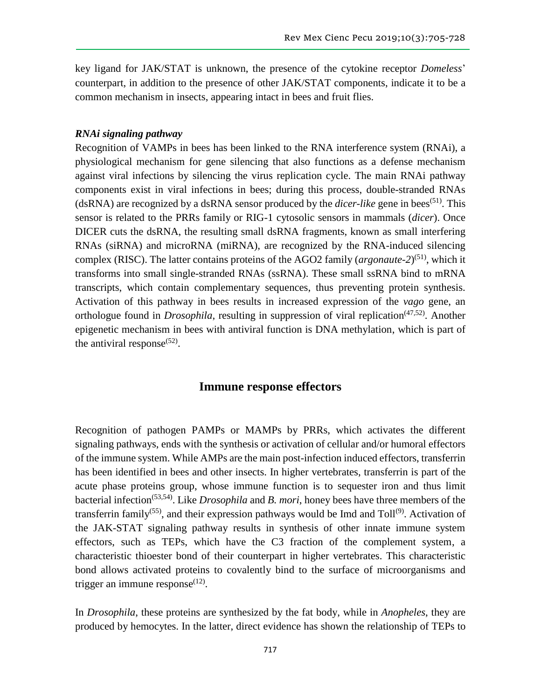key ligand for JAK/STAT is unknown, the presence of the cytokine receptor *Domeless*' counterpart, in addition to the presence of other JAK/STAT components, indicate it to be a common mechanism in insects, appearing intact in bees and fruit flies.

#### *RNAi signaling pathway*

Recognition of VAMPs in bees has been linked to the RNA interference system (RNAi), a physiological mechanism for gene silencing that also functions as a defense mechanism against viral infections by silencing the virus replication cycle. The main RNAi pathway components exist in viral infections in bees; during this process, double-stranded RNAs (dsRNA) are recognized by a dsRNA sensor produced by the *dicer-like* gene in bees<sup>(51)</sup>. This sensor is related to the PRRs family or RIG-1 cytosolic sensors in mammals (*dicer*). Once DICER cuts the dsRNA, the resulting small dsRNA fragments, known as small interfering RNAs (siRNA) and microRNA (miRNA), are recognized by the RNA-induced silencing complex (RISC). The latter contains proteins of the AGO2 family (*argonaute-2*)<sup>(51)</sup>, which it transforms into small single-stranded RNAs (ssRNA). These small ssRNA bind to mRNA transcripts, which contain complementary sequences, thus preventing protein synthesis. Activation of this pathway in bees results in increased expression of the *vago* gene, an orthologue found in *Drosophila*, resulting in suppression of viral replication<sup>(47,52)</sup>. Another epigenetic mechanism in bees with antiviral function is DNA methylation, which is part of the antiviral response $(52)$ .

### **Immune response effectors**

Recognition of pathogen PAMPs or MAMPs by PRRs, which activates the different signaling pathways, ends with the synthesis or activation of cellular and/or humoral effectors of the immune system. While AMPs are the main post-infection induced effectors, transferrin has been identified in bees and other insects. In higher vertebrates, transferrin is part of the acute phase proteins group, whose immune function is to sequester iron and thus limit bacterial infection<sup>(53,54)</sup>. Like *Drosophila* and *B. mori*, honey bees have three members of the transferrin family<sup>(55)</sup>, and their expression pathways would be Imd and Toll<sup>(9)</sup>. Activation of the JAK-STAT signaling pathway results in synthesis of other innate immune system effectors, such as TEPs, which have the C3 fraction of the complement system, a characteristic thioester bond of their counterpart in higher vertebrates. This characteristic bond allows activated proteins to covalently bind to the surface of microorganisms and trigger an immune response $^{(12)}$ .

In *Drosophila*, these proteins are synthesized by the fat body, while in *Anopheles*, they are produced by hemocytes. In the latter, direct evidence has shown the relationship of TEPs to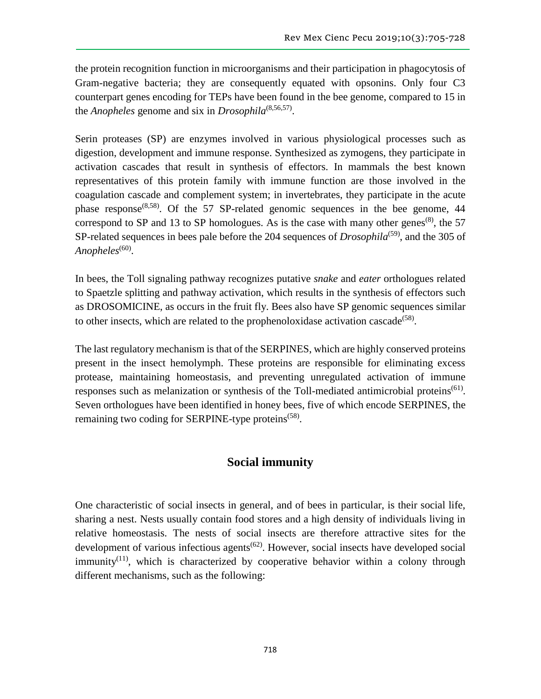the protein recognition function in microorganisms and their participation in phagocytosis of Gram-negative bacteria; they are consequently equated with opsonins. Only four C3 counterpart genes encoding for TEPs have been found in the bee genome, compared to 15 in the *Anopheles* genome and six in *Drosophila*(8,56,57) .

Serin proteases (SP) are enzymes involved in various physiological processes such as digestion, development and immune response. Synthesized as zymogens, they participate in activation cascades that result in synthesis of effectors. In mammals the best known representatives of this protein family with immune function are those involved in the coagulation cascade and complement system; in invertebrates, they participate in the acute phase response<sup> $(8,58)$ </sup>. Of the 57 SP-related genomic sequences in the bee genome, 44 correspond to SP and 13 to SP homologues. As is the case with many other genes<sup>(8)</sup>, the 57 SP-related sequences in bees pale before the 204 sequences of *Drosophila*<sup>(59)</sup>, and the 305 of Anopheles<sup>(60)</sup>.

In bees, the Toll signaling pathway recognizes putative *snake* and *eater* orthologues related to Spaetzle splitting and pathway activation, which results in the synthesis of effectors such as DROSOMICINE, as occurs in the fruit fly. Bees also have SP genomic sequences similar to other insects, which are related to the prophenoloxidase activation cascade<sup> $(58)$ </sup>.

The last regulatory mechanism is that of the SERPINES, which are highly conserved proteins present in the insect hemolymph. These proteins are responsible for eliminating excess protease, maintaining homeostasis, and preventing unregulated activation of immune responses such as melanization or synthesis of the Toll-mediated antimicrobial proteins<sup> $(61)$ </sup>. Seven orthologues have been identified in honey bees, five of which encode SERPINES, the remaining two coding for SERPINE-type proteins<sup>(58)</sup>.

## **Social immunity**

One characteristic of social insects in general, and of bees in particular, is their social life, sharing a nest. Nests usually contain food stores and a high density of individuals living in relative homeostasis. The nests of social insects are therefore attractive sites for the development of various infectious agents<sup> $(62)$ </sup>. However, social insects have developed social immunity<sup> $(11)$ </sup>, which is characterized by cooperative behavior within a colony through different mechanisms, such as the following: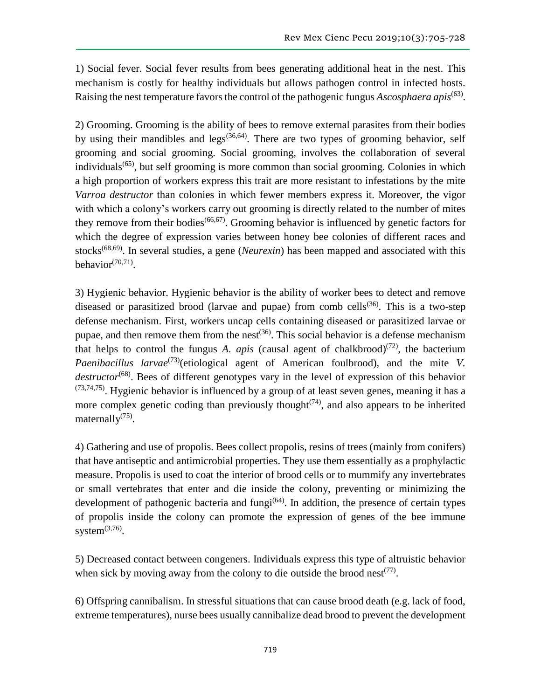1) Social fever. Social fever results from bees generating additional heat in the nest. This mechanism is costly for healthy individuals but allows pathogen control in infected hosts. Raising the nest temperature favors the control of the pathogenic fungus *Ascosphaera apis*<sup>(63)</sup>.

2) Grooming. Grooming is the ability of bees to remove external parasites from their bodies by using their mandibles and legs<sup> $(36,64)$ </sup>. There are two types of grooming behavior, self grooming and social grooming. Social grooming, involves the collaboration of several individuals<sup>(65)</sup>, but self grooming is more common than social grooming. Colonies in which a high proportion of workers express this trait are more resistant to infestations by the mite *Varroa destructor* than colonies in which fewer members express it. Moreover, the vigor with which a colony's workers carry out grooming is directly related to the number of mites they remove from their bodies<sup> $(66,67)$ </sup>. Grooming behavior is influenced by genetic factors for which the degree of expression varies between honey bee colonies of different races and stocks(68,69). In several studies, a gene (*Neurexin*) has been mapped and associated with this behavior $(70,71)$ .

3) Hygienic behavior. Hygienic behavior is the ability of worker bees to detect and remove diseased or parasitized brood (larvae and pupae) from comb cells<sup>(36)</sup>. This is a two-step defense mechanism. First, workers uncap cells containing diseased or parasitized larvae or pupae, and then remove them from the nest<sup> $(36)$ </sup>. This social behavior is a defense mechanism that helps to control the fungus *A. apis* (causal agent of chalkbrood)<sup>(72)</sup>, the bacterium *Paenibacillus larvae*<sup>(73)</sup>(etiological agent of American foulbrood), and the mite *V*. destructor<sup>(68)</sup>. Bees of different genotypes vary in the level of expression of this behavior  $(73,74,75)$ . Hygienic behavior is influenced by a group of at least seven genes, meaning it has a more complex genetic coding than previously thought<sup> $(74)$ </sup>, and also appears to be inherited maternally<sup>(75)</sup>.

4) Gathering and use of propolis. Bees collect propolis, resins of trees (mainly from conifers) that have antiseptic and antimicrobial properties. They use them essentially as a prophylactic measure. Propolis is used to coat the interior of brood cells or to mummify any invertebrates or small vertebrates that enter and die inside the colony, preventing or minimizing the development of pathogenic bacteria and fungi<sup>(64)</sup>. In addition, the presence of certain types of propolis inside the colony can promote the expression of genes of the bee immune system $^{(3,76)}$ .

5) Decreased contact between congeners. Individuals express this type of altruistic behavior when sick by moving away from the colony to die outside the brood nest<sup> $(77)$ </sup>.

6) Offspring cannibalism. In stressful situations that can cause brood death (e.g. lack of food, extreme temperatures), nurse bees usually cannibalize dead brood to prevent the development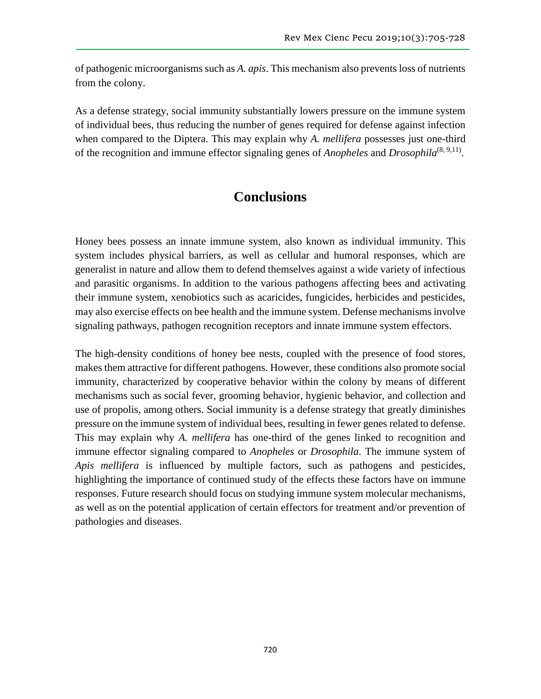of pathogenic microorganisms such as *A. apis*. This mechanism also prevents loss of nutrients from the colony.

As a defense strategy, social immunity substantially lowers pressure on the immune system of individual bees, thus reducing the number of genes required for defense against infection when compared to the Diptera. This may explain why *A. mellifera* possesses just one-third of the recognition and immune effector signaling genes of *Anopheles* and *Drosophila*<sup>(8, 9,11)</sup>.

# **Conclusions**

Honey bees possess an innate immune system, also known as individual immunity. This system includes physical barriers, as well as cellular and humoral responses, which are generalist in nature and allow them to defend themselves against a wide variety of infectious and parasitic organisms. In addition to the various pathogens affecting bees and activating their immune system, xenobiotics such as acaricides, fungicides, herbicides and pesticides, may also exercise effects on bee health and the immune system. Defense mechanisms involve signaling pathways, pathogen recognition receptors and innate immune system effectors.

The high-density conditions of honey bee nests, coupled with the presence of food stores, makes them attractive for different pathogens. However, these conditions also promote social immunity, characterized by cooperative behavior within the colony by means of different mechanisms such as social fever, grooming behavior, hygienic behavior, and collection and use of propolis, among others. Social immunity is a defense strategy that greatly diminishes pressure on the immune system of individual bees, resulting in fewer genes related to defense. This may explain why *A. mellifera* has one-third of the genes linked to recognition and immune effector signaling compared to *Anopheles* or *Drosophila*. The immune system of *Apis mellifera* is influenced by multiple factors, such as pathogens and pesticides, highlighting the importance of continued study of the effects these factors have on immune responses. Future research should focus on studying immune system molecular mechanisms, as well as on the potential application of certain effectors for treatment and/or prevention of pathologies and diseases.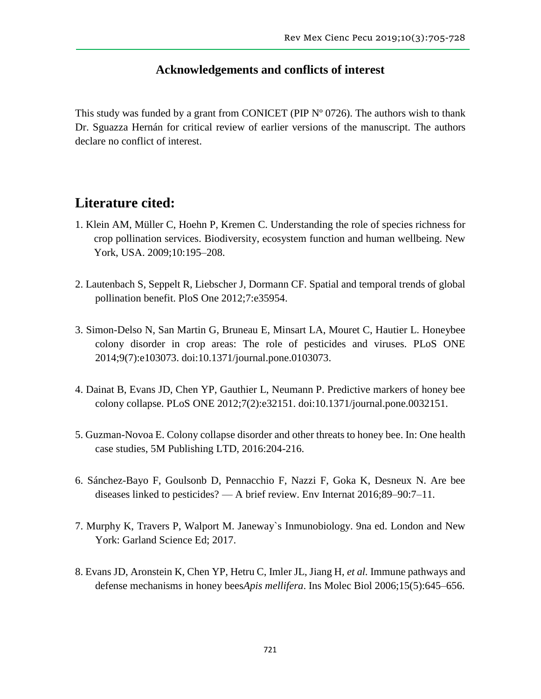# **Acknowledgements and conflicts of interest**

This study was funded by a grant from CONICET (PIP  $N^{\circ}$  0726). The authors wish to thank Dr. Sguazza Hernán for critical review of earlier versions of the manuscript. The authors declare no conflict of interest.

# **Literature cited:**

- 1. Klein AM, Müller C, Hoehn P, Kremen C. Understanding the role of species richness for crop pollination services. Biodiversity, ecosystem function and human wellbeing. New York, USA. 2009;10:195–208.
- 2. Lautenbach S, Seppelt R, Liebscher J, Dormann CF. Spatial and temporal trends of global pollination benefit. PloS One 2012;7:e35954.
- 3. Simon-Delso N, San Martin G, Bruneau E, Minsart LA, Mouret C, Hautier L. Honeybee colony disorder in crop areas: The role of pesticides and viruses. PLoS ONE 2014;9(7):e103073. doi:10.1371/journal.pone.0103073.
- 4. Dainat B, Evans JD, Chen YP, Gauthier L, Neumann P. Predictive markers of honey bee colony collapse. PLoS ONE 2012;7(2):e32151. doi:10.1371/journal.pone.0032151.
- 5. Guzman-Novoa E. Colony collapse disorder and other threats to honey bee. In: One health case studies, 5M Publishing LTD, 2016:204-216.
- 6. Sánchez-Bayo F, Goulsonb D, Pennacchio F, Nazzi F, Goka K, Desneux N. Are bee diseases linked to pesticides? — A brief review. Env Internat 2016;89–90:7–11.
- 7. Murphy K, Travers P, Walport M. Janeway`s Inmunobiology. 9na ed. London and New York: Garland Science Ed; 2017.
- 8. Evans JD, Aronstein K, Chen YP, Hetru C, Imler JL, Jiang H, *et al.* Immune pathways and defense mechanisms in honey bees*Apis mellifera*. Ins Molec Biol 2006;15(5):645–656.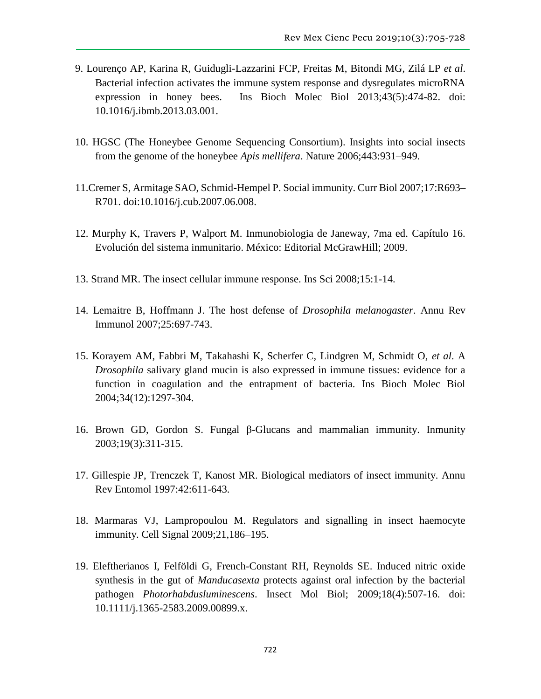- 9. Lourenço AP, Karina R, Guidugli-Lazzarini FCP, Freitas M, Bitondi MG, Zilá LP *et al*. Bacterial infection activates the immune system response and dysregulates microRNA expression in honey bees. Ins Bioch Molec Biol 2013;43(5):474-82. doi: 10.1016/j.ibmb.2013.03.001.
- 10. HGSC (The Honeybee Genome Sequencing Consortium). Insights into social insects from the genome of the honeybee *Apis mellifera*. Nature 2006;443:931–949.
- 11.Cremer S, Armitage SAO, Schmid-Hempel P. Social immunity. Curr Biol 2007;17:R693– R701. doi:10.1016/j.cub.2007.06.008.
- 12. Murphy K, Travers P, Walport M. Inmunobiologia de Janeway, 7ma ed. Capítulo 16. Evolución del sistema inmunitario. México: Editorial McGrawHill; 2009.
- 13. Strand MR. The insect cellular immune response. Ins Sci 2008;15:1-14.
- 14. Lemaitre B, Hoffmann J. The host defense of *Drosophila melanogaster*. Annu Rev Immunol 2007;25:697-743.
- 15. Korayem AM, Fabbri M, Takahashi K, Scherfer C, Lindgren M, Schmidt O, *et al*. A *Drosophila* salivary gland mucin is also expressed in immune tissues: evidence for a function in coagulation and the entrapment of bacteria. Ins Bioch Molec Biol 2004;34(12):1297-304.
- 16. Brown GD, Gordon S. Fungal β-Glucans and mammalian immunity. Inmunity 2003;19(3):311-315.
- 17. Gillespie JP, Trenczek T, Kanost MR. Biological mediators of insect immunity. Annu Rev Entomol 1997:42:611-643.
- 18. Marmaras VJ, Lampropoulou M. Regulators and signalling in insect haemocyte immunity. Cell Signal 2009;21,186–195.
- 19. Eleftherianos I, Felföldi G, French-Constant RH, Reynolds SE. Induced nitric oxide synthesis in the gut of *Manducasexta* protects against oral infection by the bacterial pathogen *Photorhabdusluminescens*. Insect Mol Biol; 2009;18(4):507-16. doi: 10.1111/j.1365-2583.2009.00899.x.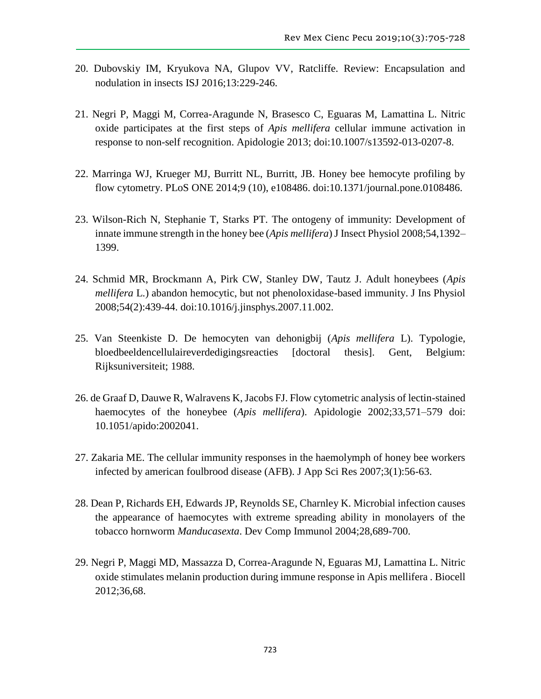- 20. Dubovskiy IM, Kryukova NA, Glupov VV, Ratcliffe. Review: Encapsulation and nodulation in insects ISJ 2016;13:229-246.
- 21. Negri P, Maggi M, Correa-Aragunde N, Brasesco C, Eguaras M, Lamattina L. Nitric oxide participates at the first steps of *Apis mellifera* cellular immune activation in response to non-self recognition. Apidologie 2013; doi:10.1007/s13592-013-0207-8.
- 22. Marringa WJ, Krueger MJ, Burritt NL, Burritt, JB. Honey bee hemocyte profiling by flow cytometry. PLoS ONE 2014;9 (10), e108486. doi:10.1371/journal.pone.0108486.
- 23. Wilson-Rich N, Stephanie T, Starks PT. The ontogeny of immunity: Development of innate immune strength in the honey bee (*Apis mellifera*) J Insect Physiol 2008;54,1392– 1399.
- 24. Schmid MR, Brockmann A, Pirk CW, Stanley DW, Tautz J. Adult honeybees (*Apis mellifera* L.) abandon hemocytic, but not phenoloxidase-based immunity. J Ins Physiol 2008;54(2):439-44. doi:10.1016/j.jinsphys.2007.11.002.
- 25. Van Steenkiste D. De hemocyten van dehonigbij (*Apis mellifera* L). Typologie, bloedbeeldencellulaireverdedigingsreacties [doctoral thesis]. Gent, Belgium: Rijksuniversiteit; 1988.
- 26. de Graaf D, Dauwe R, Walravens K, Jacobs FJ. Flow cytometric analysis of lectin-stained haemocytes of the honeybee (*Apis mellifera*). Apidologie 2002;33,571–579 doi: 10.1051/apido:2002041.
- 27. Zakaria ME. The cellular immunity responses in the haemolymph of honey bee workers infected by american foulbrood disease (AFB). J App Sci Res 2007;3(1):56-63.
- 28. Dean P, Richards EH, Edwards JP, Reynolds SE, Charnley K. Microbial infection causes the appearance of haemocytes with extreme spreading ability in monolayers of the tobacco hornworm *Manducasexta*. Dev Comp Immunol 2004;28,689-700.
- 29. Negri P, Maggi MD, Massazza D, Correa-Aragunde N, Eguaras MJ, Lamattina L. Nitric oxide stimulates melanin production during immune response in Apis mellifera . Biocell 2012;36,68.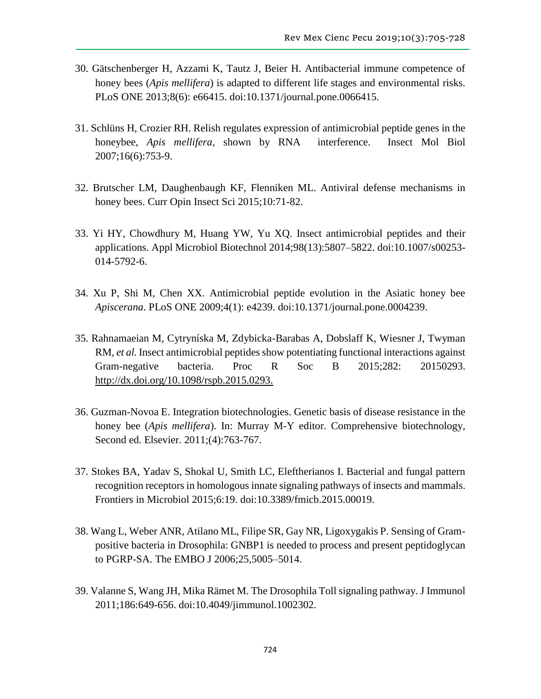- 30. Gätschenberger H, Azzami K, Tautz J, Beier H. Antibacterial immune competence of honey bees (*Apis mellifera*) is adapted to different life stages and environmental risks. PLoS ONE 2013;8(6): e66415. doi:10.1371/journal.pone.0066415.
- 31. Schlüns H, Crozier RH. Relish regulates expression of antimicrobial peptide genes in the honeybee, *Apis mellifera*, shown by RNA interference. Insect Mol Biol 2007;16(6):753-9.
- 32. Brutscher LM, Daughenbaugh KF, Flenniken ML. Antiviral defense mechanisms in honey bees. Curr Opin Insect Sci 2015;10:71-82.
- 33. Yi HY, Chowdhury M, Huang YW, Yu XQ. Insect antimicrobial peptides and their applications. Appl Microbiol Biotechnol 2014;98(13):5807–5822. doi:10.1007/s00253- 014-5792-6.
- 34. Xu P, Shi M, Chen XX. Antimicrobial peptide evolution in the Asiatic honey bee *Apiscerana*. PLoS ONE 2009;4(1): e4239. doi:10.1371/journal.pone.0004239.
- 35. Rahnamaeian M, Cytryníska M, Zdybicka-Barabas A, Dobslaff K, Wiesner J, Twyman RM, *et al.* Insect antimicrobial peptides show potentiating functional interactions against Gram-negative bacteria. Proc R Soc B 2015;282: 20150293. [http://dx.doi.org/10.1098/rspb.2015.0293.](http://dx.doi.org/10.1098/rspb.2015.0293)
- 36. Guzman-Novoa E. Integration biotechnologies. Genetic basis of disease resistance in the honey bee (*Apis mellifera*). In: Murray M-Y editor. Comprehensive biotechnology, Second ed. Elsevier. 2011;(4):763-767.
- 37. Stokes BA, Yadav S, Shokal U, Smith LC, Eleftherianos I. Bacterial and fungal pattern recognition receptors in homologous innate signaling pathways of insects and mammals. Frontiers in Microbiol 2015;6:19. doi:10.3389/fmicb.2015.00019.
- 38. Wang L, Weber ANR, Atilano ML, Filipe SR, Gay NR, Ligoxygakis P. Sensing of Grampositive bacteria in Drosophila: GNBP1 is needed to process and present peptidoglycan to PGRP-SA. The EMBO J 2006;25,5005–5014.
- 39. Valanne S, Wang JH, Mika Rämet M. The Drosophila Toll signaling pathway. J Immunol 2011;186:649-656. doi:10.4049/jimmunol.1002302.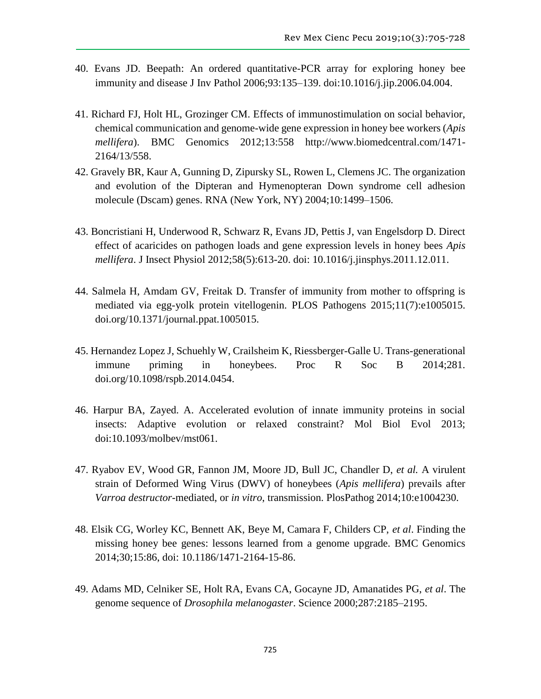- 40. Evans JD. Beepath: An ordered quantitative-PCR array for exploring honey bee immunity and disease J Inv Pathol 2006;93:135–139. doi:10.1016/j.jip.2006.04.004.
- 41. Richard FJ, Holt HL, Grozinger CM. Effects of immunostimulation on social behavior, chemical communication and genome-wide gene expression in honey bee workers (*Apis mellifera*). BMC Genomics 2012;13:558 http://www.biomedcentral.com/1471- 2164/13/558.
- 42. Gravely BR, Kaur A, Gunning D, Zipursky SL, Rowen L, Clemens JC. The organization and evolution of the Dipteran and Hymenopteran Down syndrome cell adhesion molecule (Dscam) genes. RNA (New York, NY) 2004;10:1499–1506.
- 43. Boncristiani H, Underwood R, Schwarz R, Evans JD, Pettis J, van Engelsdorp D. Direct effect of acaricides on pathogen loads and gene expression levels in honey bees *Apis mellifera*. J Insect Physiol 2012;58(5):613-20. doi: 10.1016/j.jinsphys.2011.12.011.
- 44. Salmela H, Amdam GV, Freitak D. Transfer of immunity from mother to offspring is mediated via egg-yolk protein vitellogenin. PLOS Pathogens 2015;11(7):e1005015. doi.org/10.1371/journal.ppat.1005015.
- 45. Hernandez Lopez J, Schuehly W, Crailsheim K, Riessberger-Galle U. Trans-generational immune priming in honeybees. Proc R Soc B 2014;281. doi.org/10.1098/rspb.2014.0454.
- 46. Harpur BA, Zayed. A. Accelerated evolution of innate immunity proteins in social insects: Adaptive evolution or relaxed constraint? Mol Biol Evol 2013; doi:10.1093/molbev/mst061.
- 47. Ryabov EV, Wood GR, Fannon JM, Moore JD, Bull JC, Chandler D, *et al.* A virulent strain of Deformed Wing Virus (DWV) of honeybees (*Apis mellifera*) prevails after *Varroa destructor*-mediated, or *in vitro*, transmission. PlosPathog 2014;10:e1004230.
- 48. Elsik CG, Worley KC, Bennett AK, Beye M, Camara F, Childers CP, *et al*. Finding the missing honey bee genes: lessons learned from a genome upgrade. BMC Genomics 2014;30;15:86, doi: 10.1186/1471-2164-15-86.
- 49. Adams MD, Celniker SE, Holt RA, Evans CA, Gocayne JD, Amanatides PG, *et al*. The genome sequence of *Drosophila melanogaster*. Science 2000;287:2185–2195.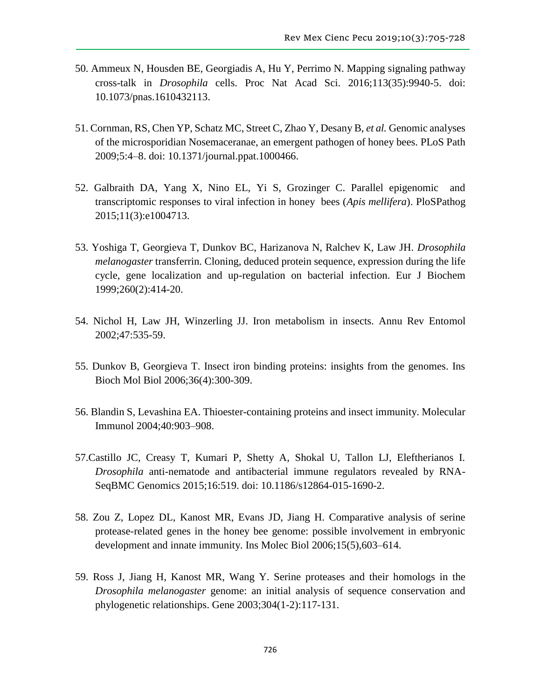- 50. Ammeux N, Housden BE, Georgiadis A, Hu Y, Perrimo N. Mapping signaling pathway cross-talk in *Drosophila* cells. Proc Nat Acad Sci. 2016;113(35):9940-5. doi: 10.1073/pnas.1610432113.
- 51. Cornman, RS, Chen YP, Schatz MC, Street C, Zhao Y, Desany B, *et al.* Genomic analyses of the microsporidian Nosemaceranae, an emergent pathogen of honey bees. PLoS Path 2009;5:4–8. doi: 10.1371/journal.ppat.1000466.
- 52. Galbraith DA, Yang X, Nino EL, Yi S, Grozinger C. Parallel epigenomic and transcriptomic responses to viral infection in honey bees (*Apis mellifera*). PloSPathog 2015;11(3):e1004713.
- 53. Yoshiga T, Georgieva T, Dunkov BC, Harizanova N, Ralchev K, Law JH. *Drosophila melanogaster* transferrin. Cloning, deduced protein sequence, expression during the life cycle, gene localization and up-regulation on bacterial infection. Eur J Biochem 1999;260(2):414-20.
- 54. Nichol H, Law JH, Winzerling JJ. Iron metabolism in insects. Annu Rev Entomol 2002;47:535-59.
- 55. Dunkov B, Georgieva T. Insect iron binding proteins: insights from the genomes. Ins Bioch Mol Biol 2006;36(4):300-309.
- 56. Blandin S, Levashina EA. Thioester-containing proteins and insect immunity. Molecular Immunol 2004;40:903–908.
- 57.Castillo JC, Creasy T, Kumari P, Shetty A, Shokal U, Tallon LJ, Eleftherianos I. *Drosophila* anti-nematode and antibacterial immune regulators revealed by RNA-SeqBMC Genomics 2015;16:519. doi: 10.1186/s12864-015-1690-2.
- 58. Zou Z, Lopez DL, Kanost MR, Evans JD, Jiang H. Comparative analysis of serine protease-related genes in the honey bee genome: possible involvement in embryonic development and innate immunity. Ins Molec Biol 2006;15(5),603–614.
- 59. Ross J, Jiang H, Kanost MR, Wang Y. Serine proteases and their homologs in the *Drosophila melanogaster* genome: an initial analysis of sequence conservation and phylogenetic relationships. Gene 2003;304(1-2):117-131.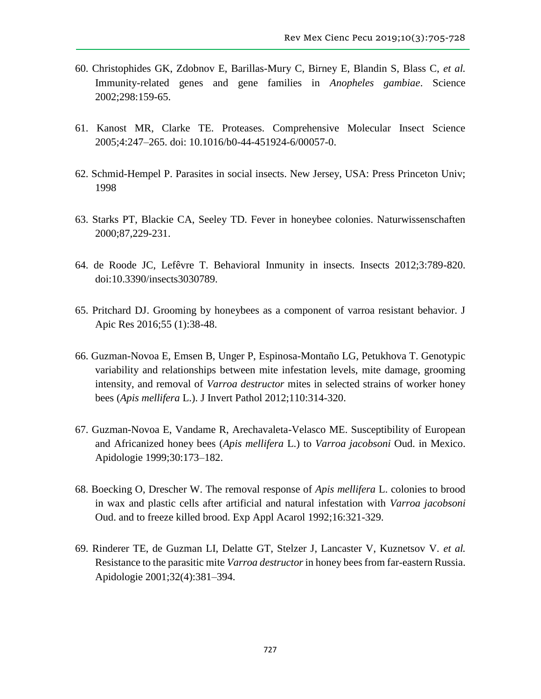- 60. Christophides GK, Zdobnov E, Barillas-Mury C, Birney E, Blandin S, Blass C, *et al.* Immunity-related genes and gene families in *Anopheles gambiae*. Science 2002;298:159-65.
- 61. Kanost MR, Clarke TE. Proteases. Comprehensive Molecular Insect Science 2005;4:247–265. doi: 10.1016/b0-44-451924-6/00057-0.
- 62. Schmid-Hempel P. Parasites in social insects. New Jersey, USA: Press Princeton Univ; 1998
- 63. Starks PT, Blackie CA, Seeley TD. Fever in honeybee colonies. Naturwissenschaften 2000;87,229-231.
- 64. de Roode JC, Lefêvre T. Behavioral Inmunity in insects. Insects 2012;3:789-820. doi:10.3390/insects3030789.
- 65. Pritchard DJ. Grooming by honeybees as a component of varroa resistant behavior. J Apic Res 2016;55 (1):38-48.
- 66. Guzman-Novoa E, Emsen B, Unger P, Espinosa-Montaño LG, Petukhova T. Genotypic variability and relationships between mite infestation levels, mite damage, grooming intensity, and removal of *Varroa destructor* mites in selected strains of worker honey bees (*Apis mellifera* L.). J Invert Pathol 2012;110:314-320.
- 67. Guzman-Novoa E, Vandame R, Arechavaleta-Velasco ME. Susceptibility of European and Africanized honey bees (*Apis mellifera* L.) to *Varroa jacobsoni* Oud. in Mexico. Apidologie 1999;30:173–182.
- 68. Boecking O, Drescher W. The removal response of *Apis mellifera* L. colonies to brood in wax and plastic cells after artificial and natural infestation with *Varroa jacobsoni* Oud. and to freeze killed brood. Exp Appl Acarol 1992;16:321-329.
- 69. Rinderer TE, de Guzman LI, Delatte GT, Stelzer J, Lancaster V, Kuznetsov V. *et al.* Resistance to the parasitic mite *Varroa destructor* in honey bees from far-eastern Russia. Apidologie 2001;32(4):381–394.